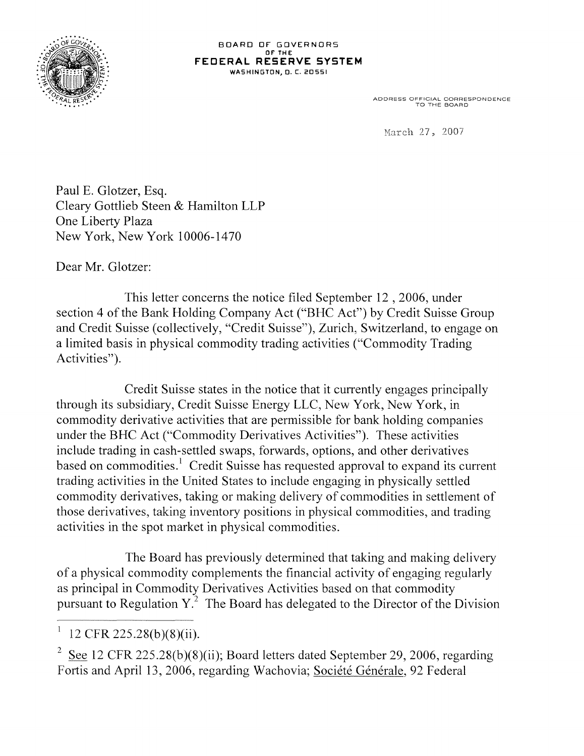

ADDRESS OFFICIAL CORRESPONDENCE TO THE BOARD

March 27, 2007

Paul E. Glotzer, Esq. Cleary Gottlieb Steen & Hamilton LLP One Liberty Plaza New York, New York 10006-1470

Dear Mr. Glotzer:

This letter concerns the notice filed September 12 , 2006, under section 4 of the Bank Holding Company Act ("BHC Act") by Credit Suisse Group and Credit Suisse (collectively, "Credit Suisse"), Zurich, Switzerland, to engage on a limited basis in physical commodity trading activities ("Commodity Trading Activities").

Credit Suisse states in the notice that it currently engages principally through its subsidiary, Credit Suisse Energy LLC, New York, New York, in commodity derivative activities that are permissible for bank holding companies under the BHC Act ("Commodity Derivatives Activities"). These activities include trading in cash-settled swaps, forwards, options, and other derivatives based on commodities.<sup>1</sup> Credit Suisse has requested approval to expand its current trading activities in the United States to include engaging in physically settled commodity derivatives, taking or making delivery of commodities in settlement of those derivatives, taking inventory positions in physical commodities, and trading activities in the spot market in physical commodities.

The Board has previously determined that taking and making delivery of a physical commodity complements the financial activity of engaging regularly as principal in Commodity Derivatives Activities based on that commodity pursuant to Regulation  $Y<sup>2</sup>$ . The Board has delegated to the Director of the Division

<sup>I</sup>12 CFR 225.28(b)(8)(ii).

See 12 CFR 225.28(b)(8)(ii); Board letters dated September 29, 2006, regarding Fortis and April 13, 2006, regarding Wachovia; Société Générale, 92 Federal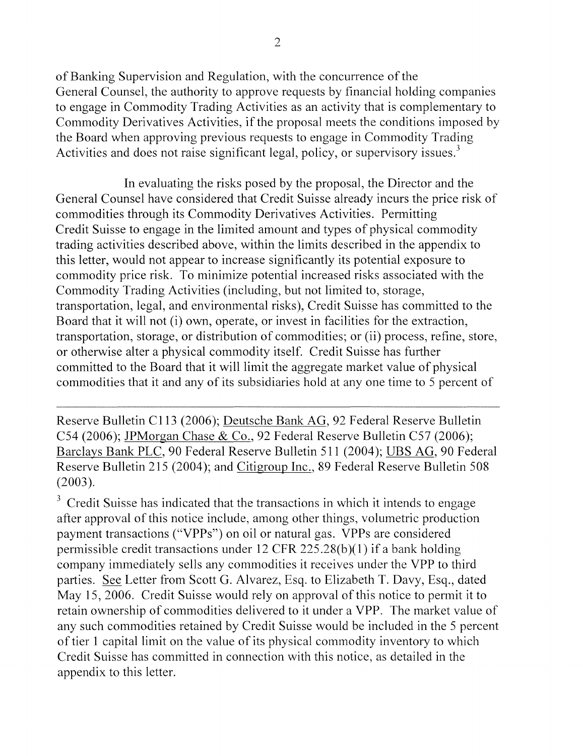of Banking Supervision and Regulation, with the concurrence of the General Counsel, the authority to approve requests by financial holding companies to engage in Commodity Trading Activities as an activity that is complementary to Commodity Derivatives Activities, if the proposal meets the conditions imposed by the Board when approving previous requests to engage in Commodity Trading Activities and does not raise significant legal, policy, or supervisory issues.<sup>3</sup>

In evaluating the risks posed by the proposal, the Director and the General Counsel have considered that Credit Suisse already incurs the price risk of commodities through its Commodity Derivatives Activities. Permitting Credit Suisse to engage in the limited amount and types of physical commodity trading activities described above, within the limits described in the appendix to this letter, would not appear to increase significantly its potential exposure to commodity price risk. To minimize potential increased risks associated with the Commodity Trading Activities (including, but not limited to, storage, transportation, legal, and environmental risks), Credit Suisse has committed to the Board that it will not (i) own, operate, or invest in facilities for the extraction, transportation, storage, or distribution of commodities; or (ii) process, refine, store, or otherwise alter a physical commodity itself. Credit Suisse has further committed to the Board that it will limit the aggregate market value of physical commodities that it and any of its subsidiaries hold at any one time to 5 percent of

Reserve Bulletin Cll3 (2006); Deutsche Bank AG, 92 Federal Reserve Bulletin C54 (2006); JPMorgan Chase & Co., 92 Federal Reserve Bulletin C57 (2006); Barclays Bank PLC, 90 Federal Reserve Bulletin 511 (2004 ); UBS AG, 90 Federal Reserve Bulletin 215 (2004); and Citigroup Inc., 89 Federal Reserve Bulletin 508 (2003).

 $3$  Credit Suisse has indicated that the transactions in which it intends to engage after approval of this notice include, among other things, volumetric production payment transactions ("VPPs") on oil or natural gas. VPPs are considered permissible credit transactions under 12 CFR  $225.28(b)(1)$  if a bank holding company immediately sells any commodities it receives under the VPP to third parties. See Letter from Scott G. Alvarez, Esq. to Elizabeth T. Davy, Esq., dated May 15, 2006. Credit Suisse would rely on approval of this notice to permit it to retain ownership of commodities delivered to it under a VPP. The market value of any such commodities retained by Credit Suisse would be included in the 5 percent of tier 1 capital limit on the value of its physical commodity inventory to which Credit Suisse has committed in connection with this notice, as detailed in the appendix to this letter.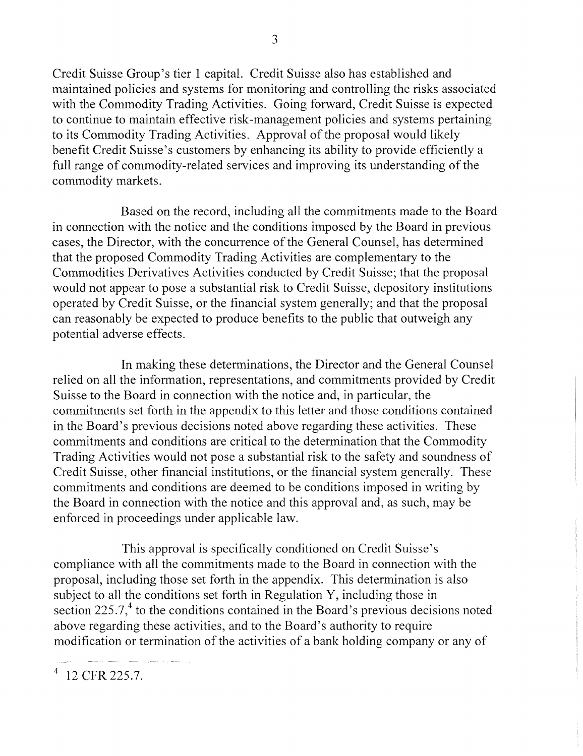Credit Suisse Group's tier 1 capital. Credit Suisse also has established and maintained policies and systems for monitoring and controlling the risks associated with the Commodity Trading Activities. Going forward, Credit Suisse is expected to continue to maintain effective risk-management policies and systems pertaining to its Commodity Trading Activities. Approval of the proposal would likely benefit Credit Suisse's customers by enhancing its ability to provide efficiently a full range of commodity-related services and improving its understanding of the commodity markets.

Based on the record, including all the commitments made to the Board in connection with the notice and the conditions imposed by the Board in previous cases, the Director, with the concurrence of the General Counsel, has determined that the proposed Commodity Trading Activities are complementary to the Commodities Derivatives Activities conducted by Credit Suisse; that the proposal would not appear to pose a substantial risk to Credit Suisse, depository institutions operated by Credit Suisse, or the financial system generally; and that the proposal can reasonably be expected to produce benefits to the public that outweigh any potential adverse effects.

In making these determinations, the Director and the General Counsel relied on all the information, representations, and commitments provided by Credit Suisse to the Board in connection with the notice and, in particular, the commitments set forth in the appendix to this letter and those conditions contained in the Board's previous decisions noted above regarding these activities. These commitments and conditions are critical to the determination that the Commodity Trading Activities would not pose a substantial risk to the safety and soundness of Credit Suisse, other financial institutions, or the financial system generally. These commitments and conditions are deemed to be conditions imposed in writing by the Board in connection with the notice and this approval and, as such, may be enforced in proceedings under applicable law.

This approval is specifically conditioned on Credit Suisse's compliance with all the commitments made to the Board in connection with the proposal, including those set forth in the appendix. This determination is also subject to all the conditions set forth in Regulation Y, including those in section 225.7, $4$  to the conditions contained in the Board's previous decisions noted above regarding these activities, and to the Board's authority to require modification or termination of the activities of a bank holding company or any of

<sup>4 12</sup> CFR 225.7.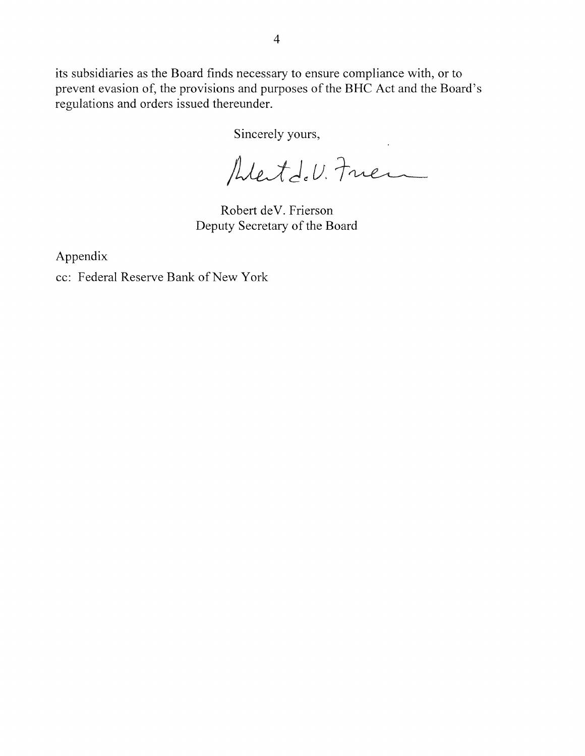its subsidiaries as the Board finds necessary to ensure compliance with, or to prevent evasion of, the provisions and purposes of the BHC Act and the Board's regulations and orders issued thereunder.

Sincerely yours,<br>Alestde U. Fries

Robert deV. Frierson Deputy Secretary of the Board

Appendix

cc: Federal Reserve Bank of New York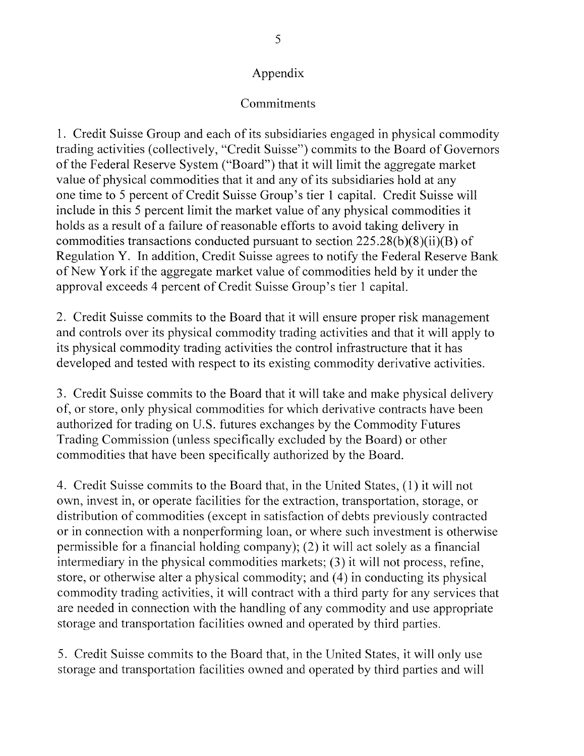## Commitments

1. Credit Suisse Group and each of its subsidiaries engaged in physical commodity trading activities (collectively, "Credit Suisse") commits to the Board of Governors of the Federal Reserve System ("Board") that it will limit the aggregate market value of physical commodities that it and any of its subsidiaries hold at any one time to 5 percent of Credit Suisse Group's tier 1 capital. Credit Suisse will include in this 5 percent limit the market value of any physical commodities it holds as a result of a failure of reasonable efforts to avoid taking delivery in commodities transactions conducted pursuant to section  $225.28(b)(8)(ii)(B)$  of Regulation Y. In addition, Credit Suisse agrees to notify the Federal Reserve Bank of New York if the aggregate market value of commodities held by it under the approval exceeds 4 percent of Credit Suisse Group's tier 1 capital.

2. Credit Suisse commits to the Board that it will ensure proper risk management and controls over its physical commodity trading activities and that it will apply to its physical commodity trading activities the control infrastructure that it has developed and tested with respect to its existing commodity derivative activities.

3. Credit Suisse commits to the Board that it will take and make physical delivery of, or store, only physical commodities for which derivative contracts have been authorized for trading on U.S. futures exchanges by the Commodity Futures Trading Commission (unless specifically excluded by the Board) or other commodities that have been specifically authorized by the Board.

4. Credit Suisse commits to the Board that, in the United States, (1) it will not own, invest in, or operate facilities for the extraction, transportation, storage, or distribution of commodities (except in satisfaction of debts previously contracted or in connection with a nonperforming loan, or where such investment is otherwise permissible for a financial holding company); (2) it will act solely as a financial intermediary in the physical commodities markets; (3) it will not process, refine, store, or otherwise alter a physical commodity; and (4) in conducting its physical commodity trading activities, it will contract with a third party for any services that are needed in connection with the handling of any commodity and use appropriate storage and transportation facilities owned and operated by third parties.

5. Credit Suisse commits to the Board that, in the United States, it will only use storage and transportation facilities owned and operated by third parties and will